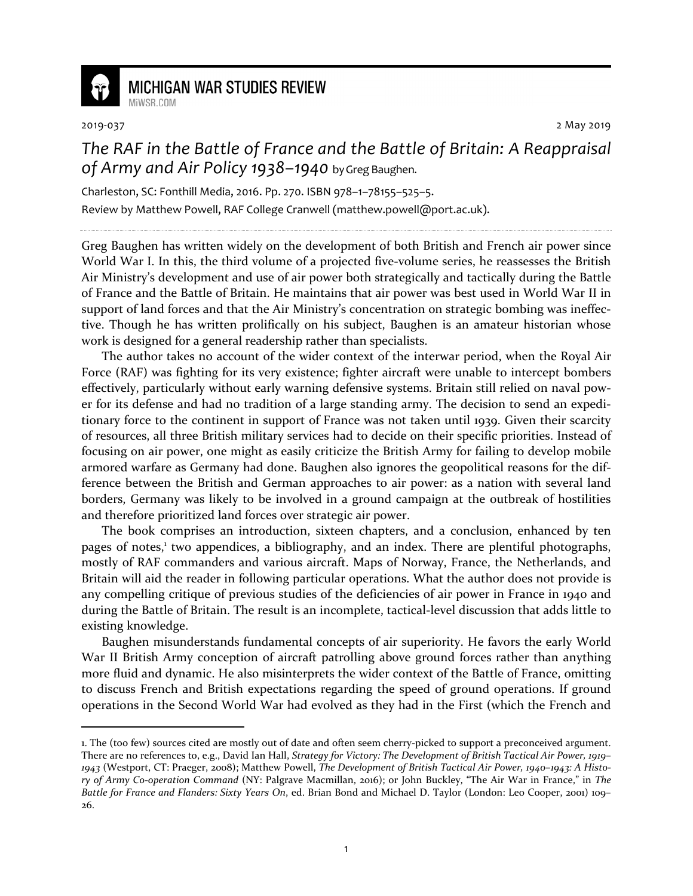

## **MICHIGAN WAR STUDIES REVIEW**

MiWSR COM

<u>.</u>

2019-037 2 May 2019

## *The RAF in the Battle of France and the Battle of Britain: A Reappraisal of Army and Air Policy 1938–1940* by Greg Baughen.

Charleston, SC: Fonthill Media, 2016. Pp. 270. ISBN 978–1–78155–525–5. Review by Matthew Powell, RAF College Cranwell (matthew.powell@port.ac.uk).

Greg Baughen has written widely on the development of both British and French air power since World War I. In this, the third volume of a projected five-volume series, he reassesses the British Air Ministry's development and use of air power both strategically and tactically during the Battle of France and the Battle of Britain. He maintains that air power was best used in World War II in support of land forces and that the Air Ministry's concentration on strategic bombing was ineffective. Though he has written prolifically on his subject, Baughen is an amateur historian whose work is designed for a general readership rather than specialists.

The author takes no account of the wider context of the interwar period, when the Royal Air Force (RAF) was fighting for its very existence; fighter aircraft were unable to intercept bombers effectively, particularly without early warning defensive systems. Britain still relied on naval power for its defense and had no tradition of a large standing army. The decision to send an expeditionary force to the continent in support of France was not taken until 1939. Given their scarcity of resources, all three British military services had to decide on their specific priorities. Instead of focusing on air power, one might as easily criticize the British Army for failing to develop mobile armored warfare as Germany had done. Baughen also ignores the geopolitical reasons for the difference between the British and German approaches to air power: as a nation with several land borders, Germany was likely to be involved in a ground campaign at the outbreak of hostilities and therefore prioritized land forces over strategic air power.

The book comprises an introduction, sixteen chapters, and a conclusion, enhanced by ten pages of notes,<sup>1</sup> two appendices, a bibliography, and an index. There are plentiful photographs, mostly of RAF commanders and various aircraft. Maps of Norway, France, the Netherlands, and Britain will aid the reader in following particular operations. What the author does not provide is any compelling critique of previous studies of the deficiencies of air power in France in 1940 and during the Battle of Britain. The result is an incomplete, tactical-level discussion that adds little to existing knowledge.

Baughen misunderstands fundamental concepts of air superiority. He favors the early World War II British Army conception of aircraft patrolling above ground forces rather than anything more fluid and dynamic. He also misinterprets the wider context of the Battle of France, omitting to discuss French and British expectations regarding the speed of ground operations. If ground operations in the Second World War had evolved as they had in the First (which the French and

<sup>1.</sup> The (too few) sources cited are mostly out of date and often seem cherry-picked to support a preconceived argument. There are no references to, e.g., David Ian Hall, *Strategy for Victory: The Development of British Tactical Air Power, 1919– 1943* (Westport, CT: Praeger, 2008); Matthew Powell, *The Development of British Tactical Air Power, 1940–1943: A History of Army Co-operation Command* (NY: Palgrave Macmillan, 2016); or John Buckley, "The Air War in France," in *The Battle for France and Flanders: Sixty Years On*, ed. Brian Bond and Michael D. Taylor (London: Leo Cooper, 2001) 109– 26.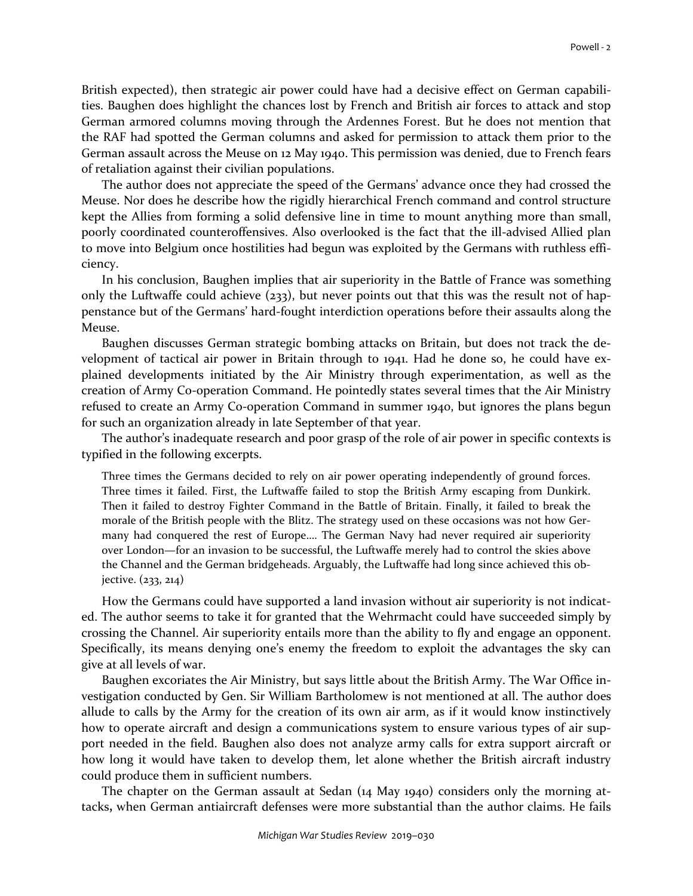British expected), then strategic air power could have had a decisive effect on German capabilities. Baughen does highlight the chances lost by French and British air forces to attack and stop German armored columns moving through the Ardennes Forest. But he does not mention that the RAF had spotted the German columns and asked for permission to attack them prior to the German assault across the Meuse on 12 May 1940. This permission was denied, due to French fears of retaliation against their civilian populations.

The author does not appreciate the speed of the Germans' advance once they had crossed the Meuse. Nor does he describe how the rigidly hierarchical French command and control structure kept the Allies from forming a solid defensive line in time to mount anything more than small, poorly coordinated counteroffensives. Also overlooked is the fact that the ill-advised Allied plan to move into Belgium once hostilities had begun was exploited by the Germans with ruthless efficiency.

In his conclusion, Baughen implies that air superiority in the Battle of France was something only the Luftwaffe could achieve  $(233)$ , but never points out that this was the result not of happenstance but of the Germans' hard-fought interdiction operations before their assaults along the Meuse.

Baughen discusses German strategic bombing attacks on Britain, but does not track the development of tactical air power in Britain through to 1941. Had he done so, he could have explained developments initiated by the Air Ministry through experimentation, as well as the creation of Army Co-operation Command. He pointedly states several times that the Air Ministry refused to create an Army Co-operation Command in summer 1940, but ignores the plans begun for such an organization already in late September of that year.

The author's inadequate research and poor grasp of the role of air power in specific contexts is typified in the following excerpts.

Three times the Germans decided to rely on air power operating independently of ground forces. Three times it failed. First, the Luftwaffe failed to stop the British Army escaping from Dunkirk. Then it failed to destroy Fighter Command in the Battle of Britain. Finally, it failed to break the morale of the British people with the Blitz. The strategy used on these occasions was not how Germany had conquered the rest of Europe…. The German Navy had never required air superiority over London—for an invasion to be successful, the Luftwaffe merely had to control the skies above the Channel and the German bridgeheads. Arguably, the Luftwaffe had long since achieved this objective. (233, 214)

How the Germans could have supported a land invasion without air superiority is not indicated. The author seems to take it for granted that the Wehrmacht could have succeeded simply by crossing the Channel. Air superiority entails more than the ability to fly and engage an opponent. Specifically, its means denying one's enemy the freedom to exploit the advantages the sky can give at all levels of war.

Baughen excoriates the Air Ministry, but says little about the British Army. The War Office investigation conducted by Gen. Sir William Bartholomew is not mentioned at all. The author does allude to calls by the Army for the creation of its own air arm, as if it would know instinctively how to operate aircraft and design a communications system to ensure various types of air support needed in the field. Baughen also does not analyze army calls for extra support aircraft or how long it would have taken to develop them, let alone whether the British aircraft industry could produce them in sufficient numbers.

The chapter on the German assault at Sedan (14 May 1940) considers only the morning attacks**,** when German antiaircraft defenses were more substantial than the author claims. He fails